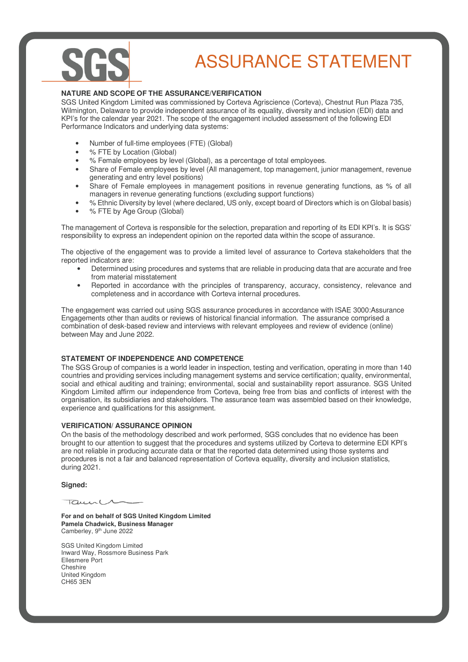# ASSURANCE STATEMENT

### **NATURE AND SCOPE OF THE ASSURANCE/VERIFICATION**

SGS United Kingdom Limited was commissioned by Corteva Agriscience (Corteva), Chestnut Run Plaza 735, Wilmington, Delaware to provide independent assurance of its equality, diversity and inclusion (EDI) data and KPI's for the calendar year 2021. The scope of the engagement included assessment of the following EDI Performance Indicators and underlying data systems:

- Number of full-time employees (FTE) (Global)
- % FTE by Location (Global)
- % Female employees by level (Global), as a percentage of total employees.
- Share of Female employees by level (All management, top management, junior management, revenue generating and entry level positions)
- Share of Female employees in management positions in revenue generating functions, as % of all managers in revenue generating functions (excluding support functions)
- % Ethnic Diversity by level (where declared, US only, except board of Directors which is on Global basis)
- % FTE by Age Group (Global)

The management of Corteva is responsible for the selection, preparation and reporting of its EDI KPI's. It is SGS' responsibility to express an independent opinion on the reported data within the scope of assurance.

The objective of the engagement was to provide a limited level of assurance to Corteva stakeholders that the reported indicators are:

- Determined using procedures and systems that are reliable in producing data that are accurate and free from material misstatement
- Reported in accordance with the principles of transparency, accuracy, consistency, relevance and completeness and in accordance with Corteva internal procedures.

The engagement was carried out using SGS assurance procedures in accordance with ISAE 3000:Assurance Engagements other than audits or reviews of historical financial information. The assurance comprised a combination of desk-based review and interviews with relevant employees and review of evidence (online) between May and June 2022.

#### **STATEMENT OF INDEPENDENCE AND COMPETENCE**

The SGS Group of companies is a world leader in inspection, testing and verification, operating in more than 140 countries and providing services including management systems and service certification; quality, environmental, social and ethical auditing and training; environmental, social and sustainability report assurance. SGS United Kingdom Limited affirm our independence from Corteva, being free from bias and conflicts of interest with the organisation, its subsidiaries and stakeholders. The assurance team was assembled based on their knowledge, experience and qualifications for this assignment.

#### **VERIFICATION/ ASSURANCE OPINION**

On the basis of the methodology described and work performed, SGS concludes that no evidence has been brought to our attention to suggest that the procedures and systems utilized by Corteva to determine EDI KPI's are not reliable in producing accurate data or that the reported data determined using those systems and procedures is not a fair and balanced representation of Corteva equality, diversity and inclusion statistics, during 2021.

#### **Signed:**

 $\overline{u}$ 

**For and on behalf of SGS United Kingdom Limited Pamela Chadwick, Business Manager**  Camberley, 9<sup>th</sup> June 2022

SGS United Kingdom Limited Inward Way, Rossmore Business Park Ellesmere Port Cheshire United Kingdom CH65 3EN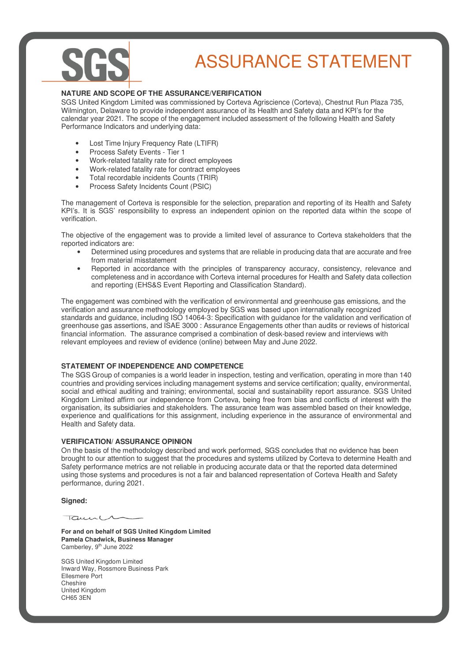## ASSURANCE STATEMENT

### **NATURE AND SCOPE OF THE ASSURANCE/VERIFICATION**

SGS United Kingdom Limited was commissioned by Corteva Agriscience (Corteva), Chestnut Run Plaza 735, Wilmington, Delaware to provide independent assurance of its Health and Safety data and KPI's for the calendar year 2021. The scope of the engagement included assessment of the following Health and Safety Performance Indicators and underlying data:

- Lost Time Injury Frequency Rate (LTIFR)
- Process Safety Events Tier 1
- Work-related fatality rate for direct employees
- Work-related fatality rate for contract employees
- Total recordable incidents Counts (TRIR)
- Process Safety Incidents Count (PSIC)

The management of Corteva is responsible for the selection, preparation and reporting of its Health and Safety KPI's. It is SGS' responsibility to express an independent opinion on the reported data within the scope of verification.

The objective of the engagement was to provide a limited level of assurance to Corteva stakeholders that the reported indicators are:

- Determined using procedures and systems that are reliable in producing data that are accurate and free from material misstatement
- Reported in accordance with the principles of transparency accuracy, consistency, relevance and completeness and in accordance with Corteva internal procedures for Health and Safety data collection and reporting (EHS&S Event Reporting and Classification Standard).

The engagement was combined with the verification of environmental and greenhouse gas emissions, and the verification and assurance methodology employed by SGS was based upon internationally recognized standards and guidance, including ISO 14064-3: Specification with guidance for the validation and verification of greenhouse gas assertions, and ISAE 3000 : Assurance Engagements other than audits or reviews of historical financial information. The assurance comprised a combination of desk-based review and interviews with relevant employees and review of evidence (online) between May and June 2022.

#### **STATEMENT OF INDEPENDENCE AND COMPETENCE**

The SGS Group of companies is a world leader in inspection, testing and verification, operating in more than 140 countries and providing services including management systems and service certification; quality, environmental, social and ethical auditing and training; environmental, social and sustainability report assurance. SGS United Kingdom Limited affirm our independence from Corteva, being free from bias and conflicts of interest with the organisation, its subsidiaries and stakeholders. The assurance team was assembled based on their knowledge, experience and qualifications for this assignment, including experience in the assurance of environmental and Health and Safety data.

#### **VERIFICATION/ ASSURANCE OPINION**

On the basis of the methodology described and work performed, SGS concludes that no evidence has been brought to our attention to suggest that the procedures and systems utilized by Corteva to determine Health and Safety performance metrics are not reliable in producing accurate data or that the reported data determined using those systems and procedures is not a fair and balanced representation of Corteva Health and Safety performance, during 2021.

#### **Signed:**

Taune

**For and on behalf of SGS United Kingdom Limited Pamela Chadwick, Business Manager**  Camberley, 9<sup>th</sup> June 2022

SGS United Kingdom Limited Inward Way, Rossmore Business Park Ellesmere Port Cheshire United Kingdom CH65 3EN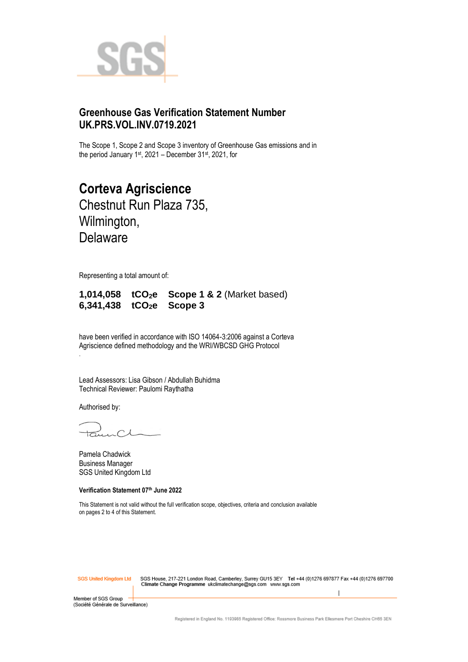

## **Greenhouse Gas Verification Statement Number UK.PRS.VOL.INV.0719.2021**

The Scope 1, Scope 2 and Scope 3 inventory of Greenhouse Gas emissions and in the period January 1<sup>st</sup>, 2021 – December 31st, 2021, for

**Corteva Agriscience** Chestnut Run Plaza 735, Wilmington, Delaware

Representing a total amount of:

**1,014,058 tCO2e Scope 1 & 2** (Market based) **6,341,438 tCO2e Scope 3**

have been verified in accordance with ISO 14064-3:2006 against a Corteva Agriscience defined methodology and the WRI/WBCSD GHG Protocol

Lead Assessors: Lisa Gibson / Abdullah Buhidma Technical Reviewer: Paulomi Raythatha

Authorised by:

.

 $\bigcap$ 

Pamela Chadwick Business Manager SGS United Kingdom Ltd

**Verification Statement 07 th June 2022**

This Statement is not valid without the full verification scope, objectives, criteria and conclusion available on pages 2 to 4 of this Statement.

**SGS United Kinadom Ltd** 

SGS House, 217-221 London Road, Camberley, Surrey GU15 3EY Tel +44 (0)1276 697877 Fax +44 (0)1276 697700<br>Climate Change Programme ukclimatechange@sgs.com www.sgs.com

Member of SGS Group (Société Générale de Surveillance)

Registered in England No. 1193985 Registered Office: Rossmore Business Park Ellesmere Port Cheshire CH65 3EN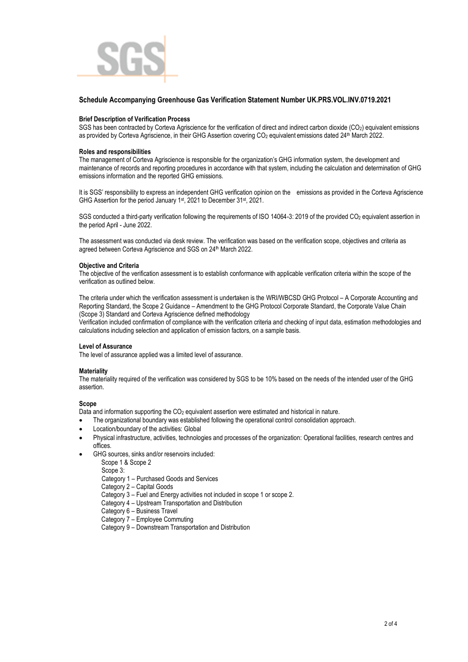

#### **Schedule Accompanying Greenhouse Gas Verification Statement Number UK.PRS.VOL.INV.0719.2021**

#### **Brief Description of Verification Process**

SGS has been contracted by Corteva Agriscience for the verification of direct and indirect carbon dioxide  $(CO<sub>2</sub>)$  equivalent emissions as provided by Corteva Agriscience, in their GHG Assertion covering CO<sub>2</sub> equivalent emissions dated 24<sup>th</sup> March 2022.

#### **Roles and responsibilities**

The management of Corteva Agriscience is responsible for the organization's GHG information system*,* the development and maintenance of records and reporting procedures in accordance with that system, including the calculation and determination of GHG emissions information and the reported GHG emissions.

It is SGS' responsibility to express an independent GHG verification opinion on the emissions as provided in the Corteva Agriscience GHG Assertion for the period January 1<sup>st</sup>, 2021 to December 31<sup>st</sup>, 2021.

SGS conducted a third-party verification following the requirements of ISO 14064-3: 2019 of the provided CO<sub>2</sub> equivalent assertion in the period April - June 2022.

The assessment was conducted via desk review. The verification was based on the verification scope, objectives and criteria as agreed between Corteva Agriscience and SGS on 24<sup>th</sup> March 2022.

#### **Objective and Criteria**

The objective of the verification assessment is to establish conformance with applicable verification criteria within the scope of the verification as outlined below.

The criteria under which the verification assessment is undertaken is the WRI/WBCSD GHG Protocol – A Corporate Accounting and Reporting Standard, the Scope 2 Guidance – Amendment to the GHG Protocol Corporate Standard, the Corporate Value Chain (Scope 3) Standard and Corteva Agriscience defined methodology

Verification included confirmation of compliance with the verification criteria and checking of input data, estimation methodologies and calculations including selection and application of emission factors, on a sample basis.

#### **Level of Assurance**

The level of assurance applied was a limited level of assurance.

#### **Materiality**

The materiality required of the verification was considered by SGS to be 10% based on the needs of the intended user of the GHG assertion.

#### **Scope**

Data and information supporting the CO<sub>2</sub> equivalent assertion were estimated and historical in nature.

- The organizational boundary was established following the operational control consolidation approach.
- Location/boundary of the activities: Global
- Physical infrastructure, activities, technologies and processes of the organization: Operational facilities, research centres and offices.
- GHG sources, sinks and/or reservoirs included:
	- Scope 1 & Scope 2

Scope 3:

Category 1 – Purchased Goods and Services

Category 2 – Capital Goods

- Category 3 Fuel and Energy activities not included in scope 1 or scope 2.
- Category 4 Upstream Transportation and Distribution

Category 6 – Business Travel

Category 7 – Employee Commuting

Category 9 – Downstream Transportation and Distribution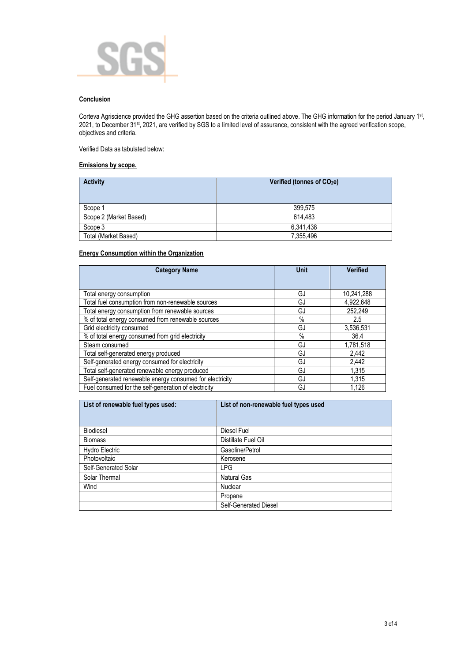

#### **Conclusion**

Corteva Agriscience provided the GHG assertion based on the criteria outlined above. The GHG information for the period January 1st, 2021, to December 31st, 2021, are verified by SGS to a limited level of assurance, consistent with the agreed verification scope, objectives and criteria.

Verified Data as tabulated below:

#### **Emissions by scope.**

| <b>Activity</b>        | Verified (tonnes of CO <sub>2</sub> e) |  |
|------------------------|----------------------------------------|--|
| Scope 1                | 399.575                                |  |
| Scope 2 (Market Based) | 614,483                                |  |
| Scope 3                | 6,341,438                              |  |
| Total (Market Based)   | 7,355,496                              |  |

#### **Energy Consumption within the Organization**

| <b>Category Name</b>                                     | <b>Unit</b> | <b>Verified</b> |
|----------------------------------------------------------|-------------|-----------------|
|                                                          |             |                 |
| Total energy consumption                                 | GJ          | 10,241,288      |
| Total fuel consumption from non-renewable sources        | GJ          | 4,922,648       |
| Total energy consumption from renewable sources          | GJ          | 252.249         |
| % of total energy consumed from renewable sources        | $\%$        | 2.5             |
| Grid electricity consumed                                | GJ          | 3,536,531       |
| % of total energy consumed from grid electricity         | $\%$        | 36.4            |
| Steam consumed                                           | GJ          | 1,781,518       |
| Total self-generated energy produced                     | GJ          | 2,442           |
| Self-generated energy consumed for electricity           | GJ          | 2,442           |
| Total self-generated renewable energy produced           | GJ          | 1.315           |
| Self-generated renewable energy consumed for electricity | GJ          | 1,315           |
| Fuel consumed for the self-generation of electricity     | GJ          | 1.126           |

| List of renewable fuel types used: | List of non-renewable fuel types used |
|------------------------------------|---------------------------------------|
|                                    |                                       |
| Biodiesel                          | Diesel Fuel                           |
| <b>Biomass</b>                     | Distillate Fuel Oil                   |
| Hydro Electric                     | Gasoline/Petrol                       |
| Photovoltaic                       | Kerosene                              |
| Self-Generated Solar               | <b>LPG</b>                            |
| Solar Thermal                      | Natural Gas                           |
| Wind                               | Nuclear                               |
|                                    | Propane                               |
|                                    | Self-Generated Diesel                 |